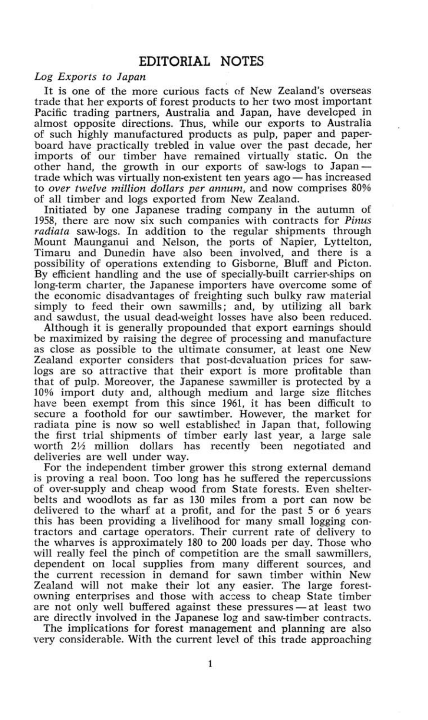## *Log Exports to Japan*

It is one of the more curious facts of New Zealand's overseas trade that her exports of forest products to her two most important Pacific trading partners, Australia and Japan, have developed in almost opposite directions. Thus, while our exports to Australia of such highly manufactured products as pulp, paper and paperboard have practically trebled in value over the past decade, her imports of our timber have remained virtually static. On the other hand, the growth in our exports of saw-logs to Japan trade which was virtually non-existent ten years ago — has increased to *over twelve million dollars per annum,* and now comprises 80% of all timber and logs exported from New Zealand.

Initiated by one Japanese trading company in the autumn of 1958, there are now six such companies with contracts for *Pinus radiata* saw-logs. In addition to the regular shipments through Mount Maunganui and Nelson, the ports of Napier, Lyttelton, Timaru and Dunedin have also been involved, and there is a possibility of operations extending to Gisborne, Bluff and Picton. By efficient handling and the use of specially-built carrier-ships on long-term charter, the Japanese importers have overcome some of the economic disadvantages of freighting such bulky raw material simply to feed their own sawmills; and, by utilizing all bark and sawdust, the usual dead-weight losses have also been reduced.

Although it is generally propounded that export earnings should be maximized by raising the degree of processing and manufacture as close as possible to the ultimate consumer, at least one New Zealand exporter considers that post-devaluation prices for sawlogs are so attractive that their export is more profitable than that of pulp. Moreover, the Japanese sawmiller is protected by a 10% import duty and, although medium and large size flitches have been exempt from this since 1961, it has been difficult to secure a foothold for our sawtimber. However, the market for radiata pine is now so well established in Japan that, following the first trial shipments of timber early last year, a large sale worth *2Vi* million dollars has recently been negotiated and deliveries are well under way.

For the independent timber grower this strong external demand is proving a real boon. Too long has he suffered the repercussions of over-supply and cheap wood from State forests. Even shelterbelts and woodlots as far as 130 miles from a port can now be delivered to the wharf at a profit, and for the past 5 or 6 years this has been providing a livelihood for many small logging contractors and cartage operators. Their current rate of delivery to the wharves is approximately 180 to 200 loads per day. Those who will really feel the pinch of competition are the small sawmillers, dependent on local supplies from many different sources, and the current recession in demand for sawn timber within New Zealand will not make their lot any easier. The large forestowning enterprises and those with access to cheap State timber are not only well buffered against these pressures — at least two are directlv involved in the Japanese log and saw-timber contracts.

The implications for forest management and planning are also very considerable. With the current level of this trade approaching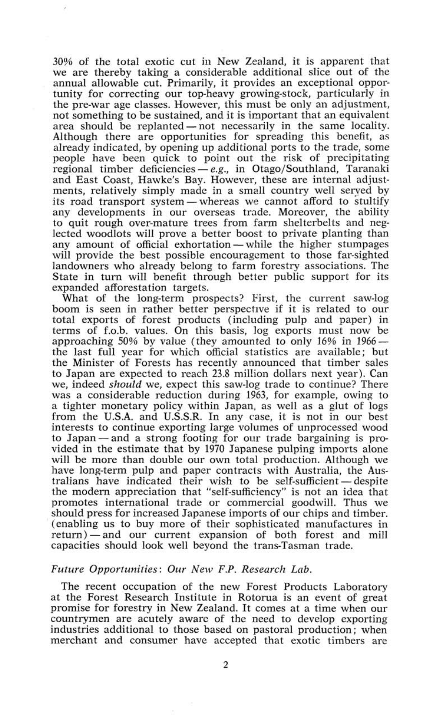30% of the total exotic cut in New Zealand, it is apparent that we are thereby taking a considerable additional slice out of the annual allowable cut. Primarily, it provides an exceptional opportunity for correcting our top-heavy growing-stock, particularly in the pre-war age classes. However, this must be only an adjustment, not something to be sustained, and it is important that an equivalent area should be replanted — not necessarily in the same locality. Although there are opportunities for spreading this benefit, as already indicated, by opening up additional ports to the trade, some people have been quick to point out the risk of precipitating regional timber deficiencies — *e.g.,* in Otago/Southland, Taranaki and East Coast, Hawke's Bay. However, these are internal adjustments, relatively simply made in a small country well served by its road transport system — whereas we cannot afford to stultify any developments in our overseas trade. Moreover, the ability to quit rough over-mature trees from farm shelterbelts and neglected woodlots will prove a better boost to private planting than any amount of official exhortation — while the higher stumpages will provide the best possible encouragement to those far-sighted landowners who already belong to farm forestry associations. The State in turn will benefit through better public support for its expanded afforestation targets.

What of the long-term prospects? First, the current saw-log boom is seen in rather better perspective if it is related to our total exports of forest products (including pulp and paper) in terms of f.o.b, values. On this basis, log exports must now be approaching 50% by value (they amounted to only 16% in 1966 the last full year for which official statistics are available; but the Minister of Forests has recently announced that timber sales to Japan are expected to reach 23.8 million dollars next year). Can we, indeed *should* we, expect this saw-log trade to continue? There was a considerable reduction during 1963, for example, owing to a tighter monetary policy within Japan, as well as a glut of logs from the U.S.A. and U.S.S.R. In any case, it is not in our best interests to continue exporting large volumes of unprocessed wood to Japan — and a strong footing for our trade bargaining is provided in the estimate that by 1970 Japanese pulping imports alone will be more than double our own total production. Although we have long-term pulp and paper contracts with Australia, the Australians have indicated their wish to be self-sufficient — despite the modern appreciation that "self-sufficiency" is not an idea that promotes international trade or commercial goodwill. Thus we should press for increased Japanese imports of our chips and timber. (enabling us to buy more of their sophisticated manufactures in return) — and our current expansion of both forest and mill capacities should look well beyond the trans-Tasman trade.

## *Future Opportunities: Our New F.P. Research Lab.*

The recent occupation of the new Forest Products Laboratory at the Forest Research Institute in Rotorua is an event of great promise for forestry in New Zealand. It comes at a time when our countrymen are acutely aware of the need to develop exporting industries additional to those based on pastoral production; when merchant and consumer have accepted that exotic timbers are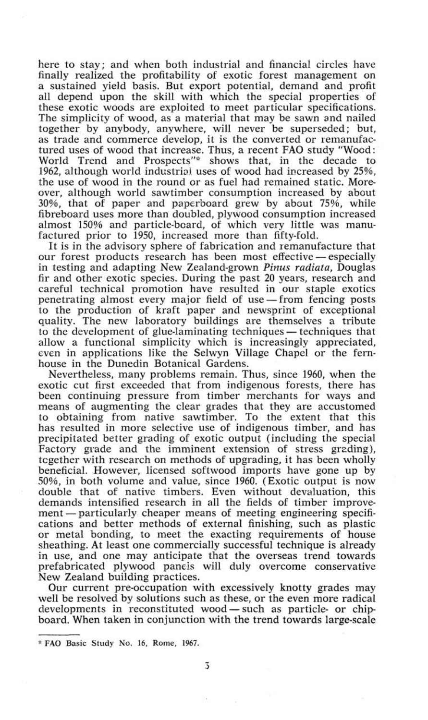here to stay; and when both industrial and financial circles have finally realized the profitability of exotic forest management on a sustained yield basis. But export potential, demand and profit all depend upon the skill with which the special properties of these exotic woods are exploited to meet particular specifications. The simplicity of wood, as a material that may be sawn and nailed together by anybody, anywhere, will never be superseded; but, as trade and commerce develop, it is the converted or remanufactured uses of wood that increase. Thus, a recent FAO study "Wood: World Trend and Prospects"\* shows that, in the decade to 1962, although world industrial uses of wood had increased by 25%, the use of wood in the round or as fuel had remained static. Moreover, although world sawtimber consumption increased by about 30%, that of paper and paperboard grew by about 75%, while fibreboard uses more than doubled, plywood consumption increased almost 150% and particle-beard, of which very little was manufactured prior to 1950, increased more than fifty-fold.

It is in the advisory sphere of fabrication and remanufacture that our forest products research has been most effective — especially in testing and adapting New Zealand-grown *Pinus radiata,* Douglas fir and other exotic species. During the past 20 years, research and careful technical promotion have resulted in our staple exotics penetrating almost every major field of use — from fencing posts to the production of kraft paper and newsprint of exceptional quality. The new laboratory buildings are themselves a tribute to the development of glue-laminating techniques — techniques that allow a functional simplicity which is increasingly appreciated, even in applications like the Selwyn Village Chapel or the fernhouse in the Dunedin Botanical Gardens.

Nevertheless, many problems remain. Thus, since 1960, when the exotic cut first exceeded that from indigenous forests, there has been continuing pressure from timber merchants for ways and means of augmenting the clear grades that they are accustomed to obtaining from native sawtimber. To the extent that this has resulted in more selective use of indigenous timber, and has precipitated better grading of exotic output (including the special Factory grade and the imminent extension of stress grading), together with research on methods of upgrading, it has been wholly beneficial. However, licensed softwood imports have gone up by 50%, in both volume and value, since 1960. (Exotic output is now double that of native timbers. Even without devaluation, this demands intensified research in all the fields of timber improvement— particularly cheaper means of meeting engineering specifications and better methods of external finishing, such as plastic or metal bonding, to meet the exacting requirements of house sheathing. At least one commercially successful technique is already in use, and one may anticipate that the overseas trend towards prefabricated plywood panels will duly overcome conservative New Zealand building practices.

Our current pre-occupation with excessively knotty grades may well be resolved by solutions such as these, or the even more radical developments in reconstituted wood—such as particle- or chipboard. When taken in conjunction with the trend towards large-scale

<sup>\*</sup> FAO Basic Study No. 16, Rome, 1967.